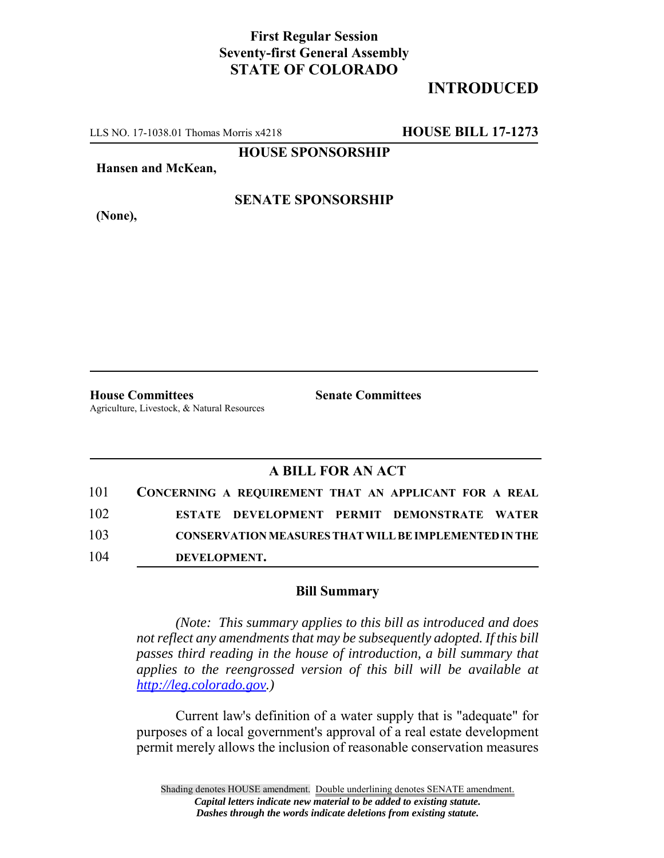## **First Regular Session Seventy-first General Assembly STATE OF COLORADO**

# **INTRODUCED**

LLS NO. 17-1038.01 Thomas Morris x4218 **HOUSE BILL 17-1273**

**HOUSE SPONSORSHIP**

**Hansen and McKean,**

**(None),**

#### **SENATE SPONSORSHIP**

**House Committees Senate Committees** Agriculture, Livestock, & Natural Resources

### **A BILL FOR AN ACT**

| 101 | CONCERNING A REQUIREMENT THAT AN APPLICANT FOR A REAL        |
|-----|--------------------------------------------------------------|
| 102 | ESTATE DEVELOPMENT PERMIT DEMONSTRATE WATER                  |
| 103 | <b>CONSERVATION MEASURES THAT WILL BE IMPLEMENTED IN THE</b> |
| 104 | DEVELOPMENT.                                                 |

#### **Bill Summary**

*(Note: This summary applies to this bill as introduced and does not reflect any amendments that may be subsequently adopted. If this bill passes third reading in the house of introduction, a bill summary that applies to the reengrossed version of this bill will be available at http://leg.colorado.gov.)*

Current law's definition of a water supply that is "adequate" for purposes of a local government's approval of a real estate development permit merely allows the inclusion of reasonable conservation measures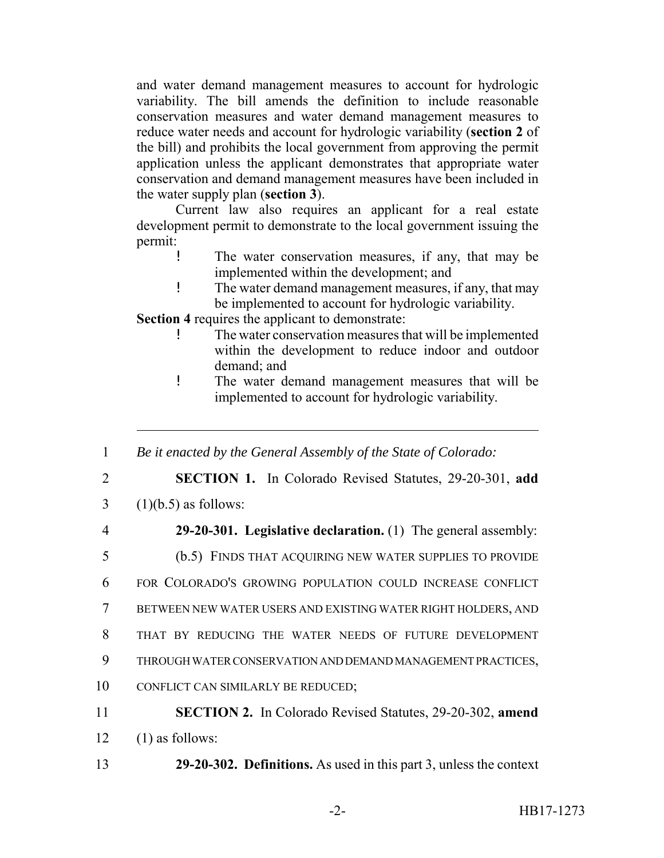and water demand management measures to account for hydrologic variability. The bill amends the definition to include reasonable conservation measures and water demand management measures to reduce water needs and account for hydrologic variability (**section 2** of the bill) and prohibits the local government from approving the permit application unless the applicant demonstrates that appropriate water conservation and demand management measures have been included in the water supply plan (**section 3**).

Current law also requires an applicant for a real estate development permit to demonstrate to the local government issuing the permit:

- ! The water conservation measures, if any, that may be implemented within the development; and
- ! The water demand management measures, if any, that may be implemented to account for hydrologic variability.

**Section 4** requires the applicant to demonstrate:

- The water conservation measures that will be implemented within the development to reduce indoor and outdoor demand; and
- ! The water demand management measures that will be implemented to account for hydrologic variability.

1 *Be it enacted by the General Assembly of the State of Colorado:*

2 **SECTION 1.** In Colorado Revised Statutes, 29-20-301, **add**

- $3 \quad (1)(b.5)$  as follows:
- 

4 **29-20-301. Legislative declaration.** (1) The general assembly:

- 5 (b.5) FINDS THAT ACQUIRING NEW WATER SUPPLIES TO PROVIDE
- 6 FOR COLORADO'S GROWING POPULATION COULD INCREASE CONFLICT
- 7 BETWEEN NEW WATER USERS AND EXISTING WATER RIGHT HOLDERS, AND
- 8 THAT BY REDUCING THE WATER NEEDS OF FUTURE DEVELOPMENT
- 9 THROUGH WATER CONSERVATION AND DEMAND MANAGEMENT PRACTICES,
- 10 CONFLICT CAN SIMILARLY BE REDUCED;
- 11 **SECTION 2.** In Colorado Revised Statutes, 29-20-302, **amend** 12  $(1)$  as follows:
- 13 **29-20-302. Definitions.** As used in this part 3, unless the context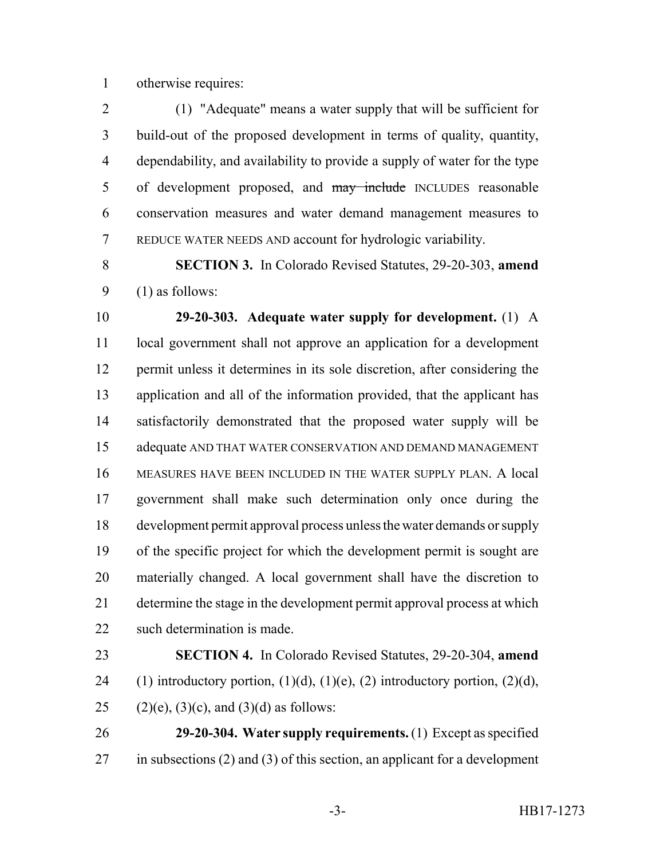otherwise requires:

 (1) "Adequate" means a water supply that will be sufficient for build-out of the proposed development in terms of quality, quantity, dependability, and availability to provide a supply of water for the type 5 of development proposed, and may include INCLUDES reasonable conservation measures and water demand management measures to REDUCE WATER NEEDS AND account for hydrologic variability.

 **SECTION 3.** In Colorado Revised Statutes, 29-20-303, **amend** (1) as follows:

 **29-20-303. Adequate water supply for development.** (1) A local government shall not approve an application for a development permit unless it determines in its sole discretion, after considering the application and all of the information provided, that the applicant has satisfactorily demonstrated that the proposed water supply will be adequate AND THAT WATER CONSERVATION AND DEMAND MANAGEMENT MEASURES HAVE BEEN INCLUDED IN THE WATER SUPPLY PLAN. A local government shall make such determination only once during the development permit approval process unless the water demands or supply of the specific project for which the development permit is sought are materially changed. A local government shall have the discretion to determine the stage in the development permit approval process at which such determination is made.

 **SECTION 4.** In Colorado Revised Statutes, 29-20-304, **amend** 24 (1) introductory portion,  $(1)(d)$ ,  $(1)(e)$ ,  $(2)$  introductory portion,  $(2)(d)$ , 25 (2)(e), (3)(c), and (3)(d) as follows:

 **29-20-304. Water supply requirements.** (1) Except as specified in subsections (2) and (3) of this section, an applicant for a development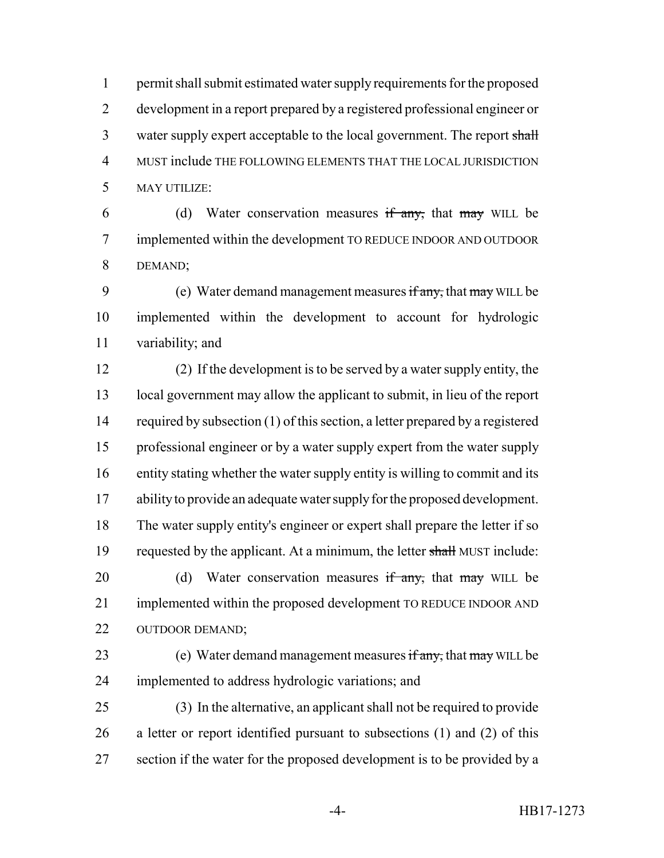permit shall submit estimated water supply requirements for the proposed development in a report prepared by a registered professional engineer or 3 water supply expert acceptable to the local government. The report shall MUST include THE FOLLOWING ELEMENTS THAT THE LOCAL JURISDICTION MAY UTILIZE:

6 (d) Water conservation measures  $\frac{d}{dx}$  that  $\frac{d}{dx}$  will be implemented within the development TO REDUCE INDOOR AND OUTDOOR DEMAND;

9 (e) Water demand management measures if any, that may WILL be implemented within the development to account for hydrologic variability; and

 (2) If the development is to be served by a water supply entity, the local government may allow the applicant to submit, in lieu of the report required by subsection (1) of this section, a letter prepared by a registered professional engineer or by a water supply expert from the water supply entity stating whether the water supply entity is willing to commit and its ability to provide an adequate water supply for the proposed development. The water supply entity's engineer or expert shall prepare the letter if so 19 requested by the applicant. At a minimum, the letter shall MUST include: 20 (d) Water conservation measures  $\frac{d}{dx}$  that may WILL be implemented within the proposed development TO REDUCE INDOOR AND OUTDOOR DEMAND; 23 (e) Water demand management measures if any, that may WILL be implemented to address hydrologic variations; and

 (3) In the alternative, an applicant shall not be required to provide a letter or report identified pursuant to subsections (1) and (2) of this section if the water for the proposed development is to be provided by a